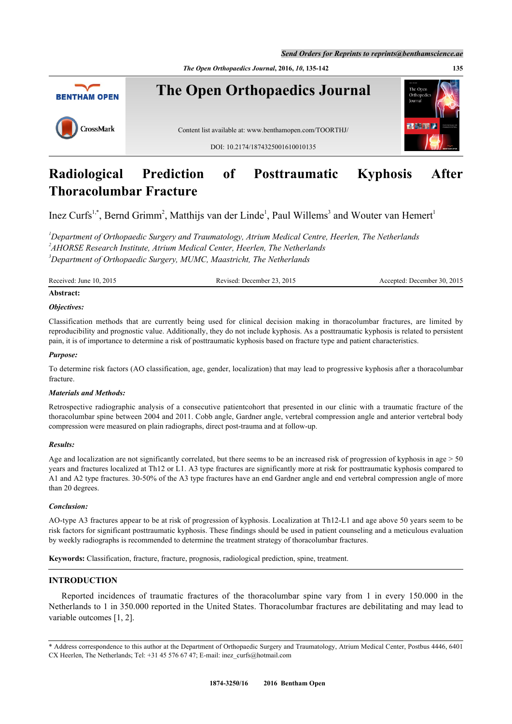*Send Orders for Reprints to reprints@benthamscience.ae*

*The Open Orthopaedics Journal***, 2016,** *10***, 135-142 135**



# **Radiological Prediction of Posttraumatic Kyphosis After Thoracolumbar Fracture**

Inez Curfs<sup>[1](#page-0-0),[\\*](#page-0-1)</sup>, Bernd Grimm<sup>[2](#page-0-2)</sup>, Matthijs van der Linde<sup>1</sup>, Paul Willems<sup>[3](#page-0-3)</sup> and Wouter van Hemert<sup>1</sup>

<span id="page-0-3"></span><span id="page-0-2"></span><span id="page-0-0"></span>*<sup>1</sup>Department of Orthopaedic Surgery and Traumatology, Atrium Medical Centre, Heerlen, The Netherlands 2 AHORSE Research Institute, Atrium Medical Center, Heerlen, The Netherlands <sup>3</sup>Department of Orthopaedic Surgery, MUMC, Maastricht, The Netherlands*

Received: June 10, 2015 Revised: December 23, 2015 Accepted: December 30, 2015

# **Abstract:**

#### *Objectives:*

Classification methods that are currently being used for clinical decision making in thoracolumbar fractures, are limited by reproducibility and prognostic value. Additionally, they do not include kyphosis. As a posttraumatic kyphosis is related to persistent pain, it is of importance to determine a risk of posttraumatic kyphosis based on fracture type and patient characteristics.

#### *Purpose:*

To determine risk factors (AO classification, age, gender, localization) that may lead to progressive kyphosis after a thoracolumbar fracture.

#### *Materials and Methods:*

Retrospective radiographic analysis of a consecutive patientcohort that presented in our clinic with a traumatic fracture of the thoracolumbar spine between 2004 and 2011. Cobb angle, Gardner angle, vertebral compression angle and anterior vertebral body compression were measured on plain radiographs, direct post-trauma and at follow-up.

#### *Results:*

Age and localization are not significantly correlated, but there seems to be an increased risk of progression of kyphosis in age  $> 50$ years and fractures localized at Th12 or L1. A3 type fractures are significantly more at risk for posttraumatic kyphosis compared to A1 and A2 type fractures. 30-50% of the A3 type fractures have an end Gardner angle and end vertebral compression angle of more than 20 degrees.

#### *Conclusion:*

AO-type A3 fractures appear to be at risk of progression of kyphosis. Localization at Th12-L1 and age above 50 years seem to be risk factors for significant posttraumatic kyphosis. These findings should be used in patient counseling and a meticulous evaluation by weekly radiographs is recommended to determine the treatment strategy of thoracolumbar fractures.

**Keywords:** Classification, fracture, fracture, prognosis, radiological prediction, spine, treatment.

# **INTRODUCTION**

Reported incidences of traumatic fractures of the thoracolumbar spine vary from 1 in every 150.000 in the Netherlands to 1 in 350.000 reported in the United States. Thoracolumbar fractures are debilitating and may lead to variable outcomes [[1,](#page-6-0) [2\]](#page-6-1).

<span id="page-0-1"></span><sup>\*</sup> Address correspondence to this author at the Department of Orthopaedic Surgery and Traumatology, Atrium Medical Center, Postbus 4446, 6401 CX Heerlen, The Netherlands; Tel: +31 45 576 67 47; E-mail: [inez\\_curfs@hotmail.com](mailto:inez_curfs@hotmail.com)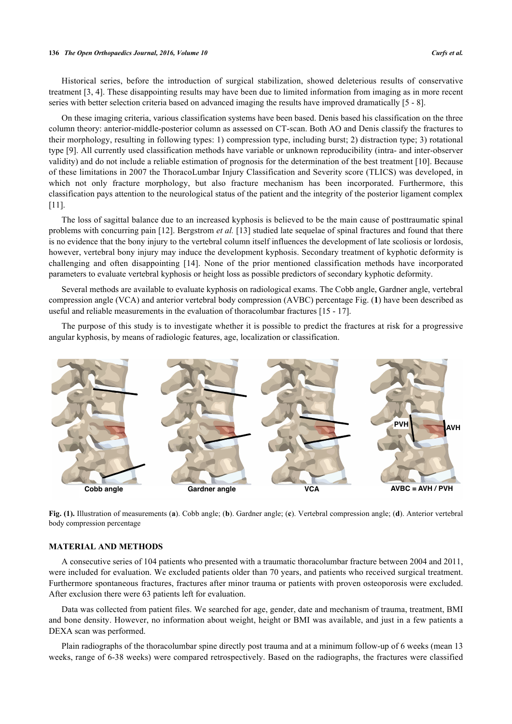Historical series, before the introduction of surgical stabilization, showed deleterious results of conservative treatment [[3](#page-6-2)[, 4](#page-6-3)]. These disappointing results may have been due to limited information from imaging as in more recent series with better selection criteria based on advanced imaging the results have improved dramatically [\[5](#page-7-0) - [8](#page-7-1)].

On these imaging criteria, various classification systems have been based. Denis based his classification on the three column theory: anterior-middle-posterior column as assessed on CT-scan. Both AO and Denis classify the fractures to their morphology, resulting in following types: 1) compression type, including burst; 2) distraction type; 3) rotational type [\[9](#page-7-2)]. All currently used classification methods have variable or unknown reproducibility (intra- and inter-observer validity) and do not include a reliable estimation of prognosis for the determination of the best treatment [\[10](#page-7-3)]. Because of these limitations in 2007 the ThoracoLumbar Injury Classification and Severity score (TLICS) was developed, in which not only fracture morphology, but also fracture mechanism has been incorporated. Furthermore, this classification pays attention to the neurological status of the patient and the integrity of the posterior ligament complex [\[11](#page-7-4)].

The loss of sagittal balance due to an increased kyphosis is believed to be the main cause of posttraumatic spinal problems with concurring pain [[12\]](#page-7-5). Bergstrom *et al.* [\[13](#page-7-6)] studied late sequelae of spinal fractures and found that there is no evidence that the bony injury to the vertebral column itself influences the development of late scoliosis or lordosis, however, vertebral bony injury may induce the development kyphosis. Secondary treatment of kyphotic deformity is challenging and often disappointing[[14](#page-7-7)]. None of the prior mentioned classification methods have incorporated parameters to evaluate vertebral kyphosis or height loss as possible predictors of secondary kyphotic deformity.

Several methods are available to evaluate kyphosis on radiological exams. The Cobb angle, Gardner angle, vertebral compression angle (VCA) and anterior vertebral body compression (AVBC) percentage Fig. (**[1](#page-1-0)**) have been described as useful and reliable measurements in the evaluation of thoracolumbar fractures [\[15](#page-7-8) - [17\]](#page-7-9).

The purpose of this study is to investigate whether it is possible to predict the fractures at risk for a progressive angular kyphosis, by means of radiologic features, age, localization or classification.

<span id="page-1-0"></span>

**Fig. (1).** Illustration of measurements (**a**). Cobb angle; (**b**). Gardner angle; (**c**). Vertebral compression angle; (**d**). Anterior vertebral body compression percentage

# **MATERIAL AND METHODS**

A consecutive series of 104 patients who presented with a traumatic thoracolumbar fracture between 2004 and 2011, were included for evaluation. We excluded patients older than 70 years, and patients who received surgical treatment. Furthermore spontaneous fractures, fractures after minor trauma or patients with proven osteoporosis were excluded. After exclusion there were 63 patients left for evaluation.

Data was collected from patient files. We searched for age, gender, date and mechanism of trauma, treatment, BMI and bone density. However, no information about weight, height or BMI was available, and just in a few patients a DEXA scan was performed.

Plain radiographs of the thoracolumbar spine directly post trauma and at a minimum follow-up of 6 weeks (mean 13 weeks, range of 6-38 weeks) were compared retrospectively. Based on the radiographs, the fractures were classified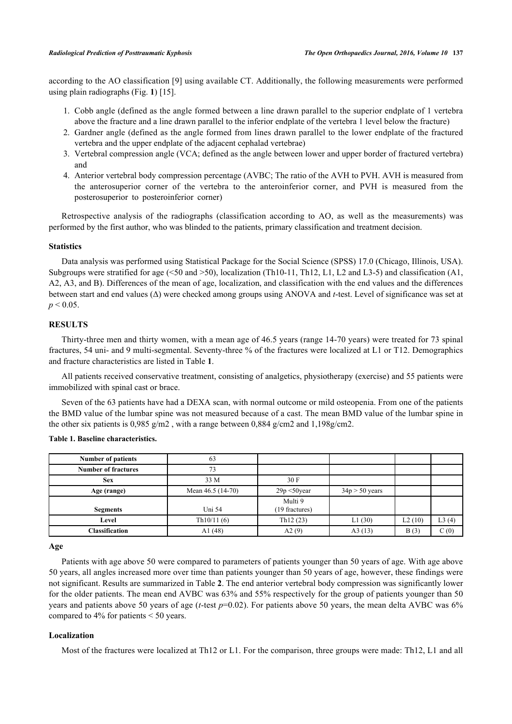according to the AO classification [\[9\]](#page-7-2) using available CT. Additionally, the following measurements were performed using plain radiographs (Fig. **[1](#page-1-0)**) [[15\]](#page-7-8).

- 1. Cobb angle (defined as the angle formed between a line drawn parallel to the superior endplate of 1 vertebra above the fracture and a line drawn parallel to the inferior endplate of the vertebra 1 level below the fracture)
- 2. Gardner angle (defined as the angle formed from lines drawn parallel to the lower endplate of the fractured vertebra and the upper endplate of the adjacent cephalad vertebrae)
- 3. Vertebral compression angle (VCA; defined as the angle between lower and upper border of fractured vertebra) and
- 4. Anterior vertebral body compression percentage (AVBC; The ratio of the AVH to PVH. AVH is measured from the anterosuperior corner of the vertebra to the anteroinferior corner, and PVH is measured from the posterosuperior to posteroinferior corner)

Retrospective analysis of the radiographs (classification according to AO, as well as the measurements) was performed by the first author, who was blinded to the patients, primary classification and treatment decision.

# **Statistics**

Data analysis was performed using Statistical Package for the Social Science (SPSS) 17.0 (Chicago, Illinois, USA). Subgroups were stratified for age ( $\leq 50$  and  $\geq 50$ ), localization (Th10-11, Th12, L1, L2 and L3-5) and classification (A1, A2, A3, and B). Differences of the mean of age, localization, and classification with the end values and the differences between start and end values (Δ) were checked among groups using ANOVA and *t*-test. Level of significance was set at  $p < 0.05$ .

#### **RESULTS**

Thirty-three men and thirty women, with a mean age of 46.5 years (range 14-70 years) were treated for 73 spinal fractures, 54 uni- and 9 multi-segmental. Seventy-three % of the fractures were localized at L1 or T12. Demographics and fracture characteristics are listed in Table **[1](#page-2-0)**.

All patients received conservative treatment, consisting of analgetics, physiotherapy (exercise) and 55 patients were immobilized with spinal cast or brace.

Seven of the 63 patients have had a DEXA scan, with normal outcome or mild osteopenia. From one of the patients the BMD value of the lumbar spine was not measured because of a cast. The mean BMD value of the lumbar spine in the other six patients is 0,985 g/m2, with a range between 0,884 g/cm2 and 1,198g/cm2.

<span id="page-2-0"></span>

| <b>Number of patients</b>  | 63                |                 |                  |        |       |
|----------------------------|-------------------|-----------------|------------------|--------|-------|
| <b>Number of fractures</b> |                   |                 |                  |        |       |
| <b>Sex</b>                 | 33 M              | 30 F            |                  |        |       |
| Age (range)                | Mean 46.5 (14-70) | $29p < 50$ year | $34p > 50$ years |        |       |
|                            |                   | Multi 9         |                  |        |       |
| <b>Segments</b>            | Uni 54            | (19 fractures)  |                  |        |       |
| Level                      | Th $10/11(6)$     | Th12(23)        | L1(30)           | L2(10) | L3(4) |
| <b>Classification</b>      | A $1(48)$         | A2(9)           | A3(13)           | B(3)   | C(0)  |

**Age**

Patients with age above 50 were compared to parameters of patients younger than 50 years of age. With age above 50 years, all angles increased more over time than patients younger than 50 years of age, however, these findings were not significant. Results are summarized in Table **[2](#page-3-0)**. The end anterior vertebral body compression was significantly lower for the older patients. The mean end AVBC was 63% and 55% respectively for the group of patients younger than 50 years and patients above 50 years of age (*t*-test *p*=0.02). For patients above 50 years, the mean delta AVBC was 6% compared to 4% for patients < 50 years.

# **Localization**

Most of the fractures were localized at Th12 or L1. For the comparison, three groups were made: Th12, L1 and all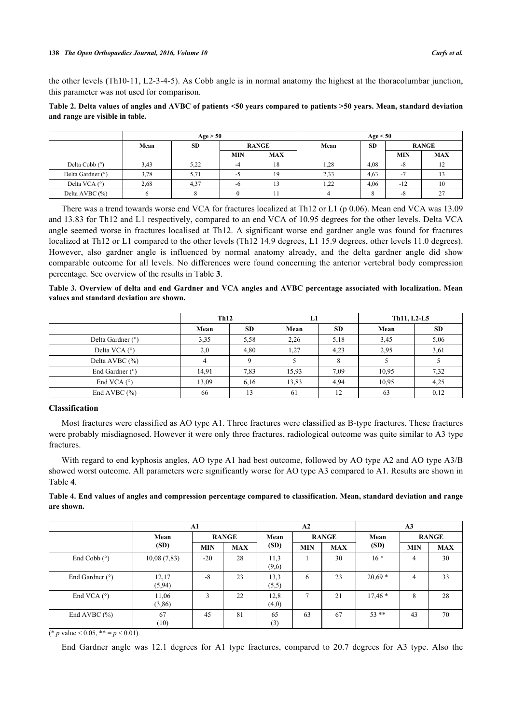the other levels (Th10-11, L2-3-4-5). As Cobb angle is in normal anatomy the highest at the thoracolumbar junction, this parameter was not used for comparison.

# <span id="page-3-0"></span>**Table 2. Delta values of angles and AVBC of patients <50 years compared to patients >50 years. Mean, standard deviation and range are visible in table.**

|                   | Age > 50 |           |              |            | Age < 50 |      |            |               |      |           |  |              |
|-------------------|----------|-----------|--------------|------------|----------|------|------------|---------------|------|-----------|--|--------------|
|                   | Mean     | <b>SD</b> | <b>RANGE</b> |            |          |      |            |               | Mean | <b>SD</b> |  | <b>RANGE</b> |
|                   |          |           | <b>MIN</b>   | <b>MAX</b> |          |      | <b>MIN</b> | MAX           |      |           |  |              |
| Delta Cobb $(°)$  | 3,43     | 5,22      | -4           | 18         | 1,28     | 4,08 | $-8$       |               |      |           |  |              |
| Delta Gardner (°) | 3,78     | 5,71      | -2           | 19         | 2,33     | 4,63 | $-1$       |               |      |           |  |              |
| Delta VCA $(°)$   | 2,68     | 4,37      | -0           |            | 1,22     | 4,06 | $-12$      |               |      |           |  |              |
| Delta AVBC (%)    |          |           |              |            |          | Ō    | -8         | $\mathcal{L}$ |      |           |  |              |

There was a trend towards worse end VCA for fractures localized at Th12 or L1 (p 0.06). Mean end VCA was 13.09 and 13.83 for Th12 and L1 respectively, compared to an end VCA of 10.95 degrees for the other levels. Delta VCA angle seemed worse in fractures localised at Th12. A significant worse end gardner angle was found for fractures localized at Th12 or L1 compared to the other levels (Th12 14.9 degrees, L1 15.9 degrees, other levels 11.0 degrees). However, also gardner angle is influenced by normal anatomy already, and the delta gardner angle did show comparable outcome for all levels. No differences were found concerning the anterior vertebral body compression percentage. See overview of the results in Table **[3](#page-3-1)**.

<span id="page-3-1"></span>**Table 3. Overview of delta and end Gardner and VCA angles and AVBC percentage associated with localization. Mean values and standard deviation are shown.**

|                      | Th12  |           | L1    |           | Th11, L2-L5 |           |  |
|----------------------|-------|-----------|-------|-----------|-------------|-----------|--|
|                      | Mean  | <b>SD</b> | Mean  | <b>SD</b> | Mean        | <b>SD</b> |  |
| Delta Gardner (°)    | 3,35  | 5,58      | 2,26  | 5.18      | 3,45        | 5,06      |  |
| Delta VCA $(^\circ)$ | 2,0   | 4,80      | 1,27  | 4,23      | 2.95        | 3,61      |  |
| Delta AVBC (%)       |       | Q         |       |           |             |           |  |
| End Gardner $(°)$    | 14,91 | 7.83      | 15,93 | 7.09      | 10.95       | 7,32      |  |
| End VCA $(^\circ)$   | 13,09 | 6,16      | 13.83 | 4.94      | 10.95       | 4,25      |  |
| End AVBC $(\% )$     | 66    | 13        | 61    | 12        | 63          | 0,12      |  |

#### **Classification**

Most fractures were classified as AO type A1. Three fractures were classified as B-type fractures. These fractures were probably misdiagnosed. However it were only three fractures, radiological outcome was quite similar to A3 type fractures.

With regard to end kyphosis angles, AO type A1 had best outcome, followed by AO type A2 and AO type A3/B showed worst outcome. All parameters were significantly worse for AO type A3 compared to A1. Results are shown in Table **[4](#page-3-2)**.

<span id="page-3-2"></span>**Table 4. End values of angles and compression percentage compared to classification. Mean, standard deviation and range are shown.**

|                       | ${\bf A1}$      |              |            | A2            |                |            | A <sub>3</sub> |              |            |
|-----------------------|-----------------|--------------|------------|---------------|----------------|------------|----------------|--------------|------------|
|                       | Mean            | <b>RANGE</b> |            | Mean          | <b>RANGE</b>   |            | Mean           | <b>RANGE</b> |            |
|                       | (SD)            | <b>MIN</b>   | <b>MAX</b> | (SD)          | <b>MIN</b>     | <b>MAX</b> | (SD)           | <b>MIN</b>   | <b>MAX</b> |
| End Cobb $(^\circ)$   | 10,08(7,83)     | $-20$        | 28         | 11.3<br>(9,6) |                | 30         | $16*$          | 4            | 30         |
| End Gardner $(°)$     | 12,17<br>(5,94) | $-8$         | 23         | 13,3<br>(5,5) | 6              | 23         | $20,69*$       | 4            | 33         |
| End VCA $(°)$         | 11,06<br>(3,86) | 3            | 22         | 12,8<br>(4,0) | $\overline{7}$ | 21         | $17,46*$       | 8            | 28         |
| End AVBC $(\% )$<br>. | 67<br>(10)      | 45           | 81         | 65<br>(3)     | 63             | 67         | $53**$         | 43           | 70         |

(\* *p* value < 0.05, \*\* =  $p$  < 0.01).

End Gardner angle was 12.1 degrees for A1 type fractures, compared to 20.7 degrees for A3 type. Also the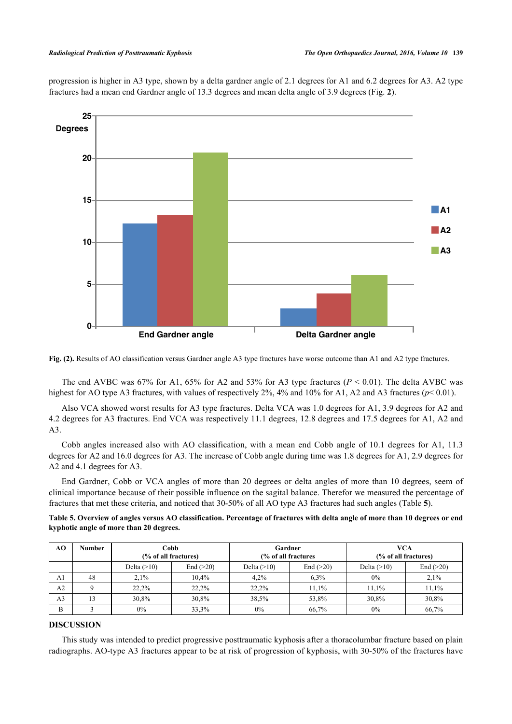progression is higher in A3 type, shown by a delta gardner angle of 2.1 degrees for A1 and 6.2 degrees for A3. A2 type fractures had a mean end Gardner angle of 13.3 degrees and mean delta angle of 3.9 degrees (Fig. **[2](#page-4-0)**).

<span id="page-4-0"></span>

**Fig. (2).** Results of AO classification versus Gardner angle A3 type fractures have worse outcome than A1 and A2 type fractures.

The end AVBC was 67% for A1, 65% for A2 and 53% for A3 type fractures  $(P < 0.01)$ . The delta AVBC was highest for AO type A3 fractures, with values of respectively  $2\%$ ,  $4\%$  and  $10\%$  for A1, A2 and A3 fractures ( $p< 0.01$ ).

Also VCA showed worst results for A3 type fractures. Delta VCA was 1.0 degrees for A1, 3.9 degrees for A2 and 4.2 degrees for A3 fractures. End VCA was respectively 11.1 degrees, 12.8 degrees and 17.5 degrees for A1, A2 and A3.

Cobb angles increased also with AO classification, with a mean end Cobb angle of 10.1 degrees for A1, 11.3 degrees for A2 and 16.0 degrees for A3. The increase of Cobb angle during time was 1.8 degrees for A1, 2.9 degrees for A2 and 4.1 degrees for A3.

End Gardner, Cobb or VCA angles of more than 20 degrees or delta angles of more than 10 degrees, seem of clinical importance because of their possible influence on the sagital balance. Therefor we measured the percentage of fractures that met these criteria, and noticed that 30-50% of all AO type A3 fractures had such angles (Table **[5](#page-4-1)**).

<span id="page-4-1"></span>**Table 5. Overview of angles versus AO classification. Percentage of fractures with delta angle of more than 10 degrees or end kyphotic angle of more than 20 degrees.**

| AO             | <b>Number</b> | Cobb<br>(% of all fractures) |             | Gardner<br>(% of all fractures |       | <b>VCA</b><br>(% of all fractures) |             |  |
|----------------|---------------|------------------------------|-------------|--------------------------------|-------|------------------------------------|-------------|--|
|                |               | Delta $(>10)$                | End $(>20)$ | End $(>20)$<br>Delta $(>10)$   |       | Delta $(>10)$                      | End $(>20)$ |  |
| A1             | 48            | 2.1%                         | $10.4\%$    | 4.2%                           | 6.3%  | $0\%$                              | 2,1%        |  |
| A <sub>2</sub> |               | 22.2%                        | 22.2%       | 22,2%                          | 11.1% | 11,1%                              | 11,1%       |  |
| A <sub>3</sub> | 13            | 30,8%                        | 30,8%       | 38,5%                          | 53.8% | 30.8%                              | 30,8%       |  |
| B              |               | $0\%$                        | 33,3%       | $0\%$                          | 66,7% | $0\%$                              | 66,7%       |  |

# **DISCUSSION**

This study was intended to predict progressive posttraumatic kyphosis after a thoracolumbar fracture based on plain radiographs. AO-type A3 fractures appear to be at risk of progression of kyphosis, with 30-50% of the fractures have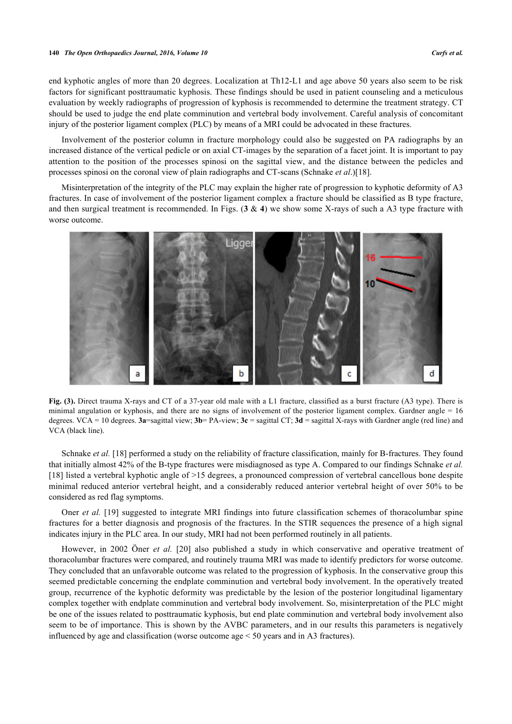end kyphotic angles of more than 20 degrees. Localization at Th12-L1 and age above 50 years also seem to be risk factors for significant posttraumatic kyphosis. These findings should be used in patient counseling and a meticulous evaluation by weekly radiographs of progression of kyphosis is recommended to determine the treatment strategy. CT should be used to judge the end plate comminution and vertebral body involvement. Careful analysis of concomitant injury of the posterior ligament complex (PLC) by means of a MRI could be advocated in these fractures.

Involvement of the posterior column in fracture morphology could also be suggested on PA radiographs by an increased distance of the vertical pedicle or on axial CT-images by the separation of a facet joint. It is important to pay attention to the position of the processes spinosi on the sagittal view, and the distance between the pedicles and processes spinosi on the coronal view of plain radiographs and CT-scans (Schnake *et al*.)[[18\]](#page-7-10).

Misinterpretation of the integrity of the PLC may explain the higher rate of progression to kyphotic deformity of A3 fractures. In case of involvement of the posterior ligament complex a fracture should be classified as B type fracture, and then surgical treatment is recommended. In Figs. (**[3](#page-5-0)** & **[4](#page-5-1)**) we show some X-rays of such a A3 type fracture with worse outcome.

<span id="page-5-0"></span>

**Fig. (3).** Direct trauma X-rays and CT of a 37-year old male with a L1 fracture, classified as a burst fracture (A3 type). There is minimal angulation or kyphosis, and there are no signs of involvement of the posterior ligament complex. Gardner angle  $= 16$ degrees. VCA = 10 degrees.  $3a$ =sagittal view;  $3b$ = PA-view;  $3c$  = sagittal CT;  $3d$  = sagittal X-rays with Gardner angle (red line) and VCA (black line).

Schnake *et al.* [\[18](#page-7-10)] performed a study on the reliability of fracture classification, mainly for B-fractures. They found that initially almost 42% of the B-type fractures were misdiagnosed as type A. Compared to our findings Schnake *et al.* [\[18](#page-7-10)] listed a vertebral kyphotic angle of >15 degrees, a pronounced compression of vertebral cancellous bone despite minimal reduced anterior vertebral height, and a considerably reduced anterior vertebral height of over 50% to be considered as red flag symptoms.

Oner *et al.* [[19\]](#page-7-11) suggested to integrate MRI findings into future classification schemes of thoracolumbar spine fractures for a better diagnosis and prognosis of the fractures. In the STIR sequences the presence of a high signal indicates injury in the PLC area. In our study, MRI had not been performed routinely in all patients.

<span id="page-5-1"></span>However, in 2002 Öner *et al.* [\[20\]](#page-7-12) also published a study in which conservative and operative treatment of thoracolumbar fractures were compared, and routinely trauma MRI was made to identify predictors for worse outcome. They concluded that an unfavorable outcome was related to the progression of kyphosis. In the conservative group this seemed predictable concerning the endplate comminution and vertebral body involvement. In the operatively treated group, recurrence of the kyphotic deformity was predictable by the lesion of the posterior longitudinal ligamentary complex together with endplate comminution and vertebral body involvement. So, misinterpretation of the PLC might be one of the issues related to posttraumatic kyphosis, but end plate comminution and vertebral body involvement also seem to be of importance. This is shown by the AVBC parameters, and in our results this parameters is negatively influenced by age and classification (worse outcome age < 50 years and in A3 fractures).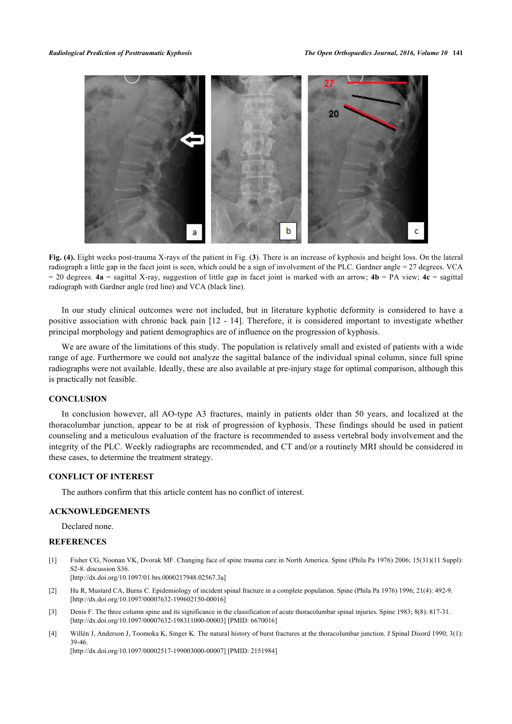

**Fig. (4).** Eight weeks post-trauma X-rays of the patient in Fig. (**[3](#page-5-0)**). There is an increase of kyphosis and height loss. On the lateral radiograph a little gap in the facet joint is seen, which could be a sign of involvement of the PLC. Gardner angle = 27 degrees. VCA = 20 degrees. **4a** = sagittal X-ray, suggestion of little gap in facet joint is marked with an arrow; **4b** = PA view; **4c** = sagittal radiograph with Gardner angle (red line) and VCA (black line).

In our study clinical outcomes were not included, but in literature kyphotic deformity is considered to have a positive association with chronic back pain [\[12](#page-7-5) - [14\]](#page--1-0). Therefore, it is considered important to investigate whether principal morphology and patient demographics are of influence on the progression of kyphosis.

We are aware of the limitations of this study. The population is relatively small and existed of patients with a wide range of age. Furthermore we could not analyze the sagittal balance of the individual spinal column, since full spine radiographs were not available. Ideally, these are also available at pre-injury stage for optimal comparison, although this is practically not feasible.

#### **CONCLUSION**

In conclusion however, all AO-type A3 fractures, mainly in patients older than 50 years, and localized at the thoracolumbar junction, appear to be at risk of progression of kyphosis. These findings should be used in patient counseling and a meticulous evaluation of the fracture is recommended to assess vertebral body involvement and the integrity of the PLC. Weekly radiographs are recommended, and CT and/or a routinely MRI should be considered in these cases, to determine the treatment strategy.

# **CONFLICT OF INTEREST**

The authors confirm that this article content has no conflict of interest.

#### **ACKNOWLEDGEMENTS**

Declared none.

# **REFERENCES**

<span id="page-6-0"></span>[1] Fisher CG, Noonan VK, Dvorak MF. Changing face of spine trauma care in North America. Spine (Phila Pa 1976) 2006; 15(31)(11 Suppl): S2-8. discussion S36.

[\[http://dx.doi.org/10.1097/01.brs.0000217948.02567.3a](http://dx.doi.org/10.1097/01.brs.0000217948.02567.3a)]

- <span id="page-6-1"></span>[2] Hu R, Mustard CA, Burns C. Epidemiology of incident spinal fracture in a complete population. Spine (Phila Pa 1976) 1996; 21(4): 492-9. [\[http://dx.doi.org/10.1097/00007632-199602150-00016](http://dx.doi.org/10.1097/00007632-199602150-00016)]
- <span id="page-6-2"></span>[3] Denis F. The three column spine and its significance in the classification of acute thoracolumbar spinal injuries. Spine 1983; 8(8): 817-31. [\[http://dx.doi.org/10.1097/00007632-198311000-00003](http://dx.doi.org/10.1097/00007632-198311000-00003)] [PMID: [6670016\]](http://www.ncbi.nlm.nih.gov/pubmed/6670016)
- <span id="page-6-3"></span>[4] Willén J, Anderson J, Toomoka K, Singer K. The natural history of burst fractures at the thoracolumbar junction. J Spinal Disord 1990; 3(1): 39-46.

[\[http://dx.doi.org/10.1097/00002517-199003000-00007](http://dx.doi.org/10.1097/00002517-199003000-00007)] [PMID: [2151984\]](http://www.ncbi.nlm.nih.gov/pubmed/2151984)